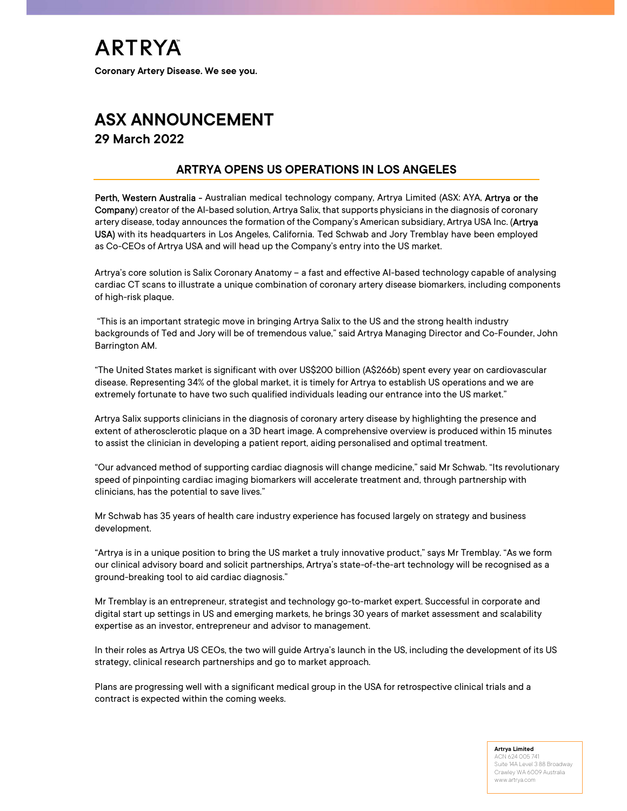# ASX ANNOUNCEMENT 29 March 2022

### ARTRYA OPENS US OPERATIONS IN LOS ANGELES

Perth, Western Australia - Australian medical technology company, Artrya Limited (ASX: AYA, Artrya or the Company) creator of the AI-based solution, Artrya Salix, that supports physicians in the diagnosis of coronary artery disease, today announces the formation of the Company's American subsidiary, Artrya USA Inc. (Artrya USA) with its headquarters in Los Angeles, California. Ted Schwab and Jory Tremblay have been employed as Co-CEOs of Artrya USA and will head up the Company's entry into the US market.

Artrya's core solution is Salix Coronary Anatomy – a fast and effective AI-based technology capable of analysing cardiac CT scans to illustrate a unique combination of coronary artery disease biomarkers, including components of high-risk plaque.

 "This is an important strategic move in bringing Artrya Salix to the US and the strong health industry backgrounds of Ted and Jory will be of tremendous value," said Artrya Managing Director and Co-Founder, John Barrington AM.

"The United States market is significant with over US\$200 billion (A\$266b) spent every year on cardiovascular disease. Representing 34% of the global market, it is timely for Artrya to establish US operations and we are extremely fortunate to have two such qualified individuals leading our entrance into the US market."

Artrya Salix supports clinicians in the diagnosis of coronary artery disease by highlighting the presence and extent of atherosclerotic plaque on a 3D heart image. A comprehensive overview is produced within 15 minutes to assist the clinician in developing a patient report, aiding personalised and optimal treatment.

"Our advanced method of supporting cardiac diagnosis will change medicine," said Mr Schwab. "Its revolutionary speed of pinpointing cardiac imaging biomarkers will accelerate treatment and, through partnership with clinicians, has the potential to save lives."

Mr Schwab has 35 years of health care industry experience has focused largely on strategy and business development.

"Artrya is in a unique position to bring the US market a truly innovative product," says Mr Tremblay. "As we form our clinical advisory board and solicit partnerships, Artrya's state-of-the-art technology will be recognised as a ground-breaking tool to aid cardiac diagnosis."

Mr Tremblay is an entrepreneur, strategist and technology go-to-market expert. Successful in corporate and digital start up settings in US and emerging markets, he brings 30 years of market assessment and scalability expertise as an investor, entrepreneur and advisor to management.

In their roles as Artrya US CEOs, the two will guide Artrya's launch in the US, including the development of its US strategy, clinical research partnerships and go to market approach.

Plans are progressing well with a significant medical group in the USA for retrospective clinical trials and a contract is expected within the coming weeks.

#### Artrya Limited

ACN 624 005 741 Suite 14A Level 3 88 Broadway Crawley WA 6009 Australia www.artrya.com